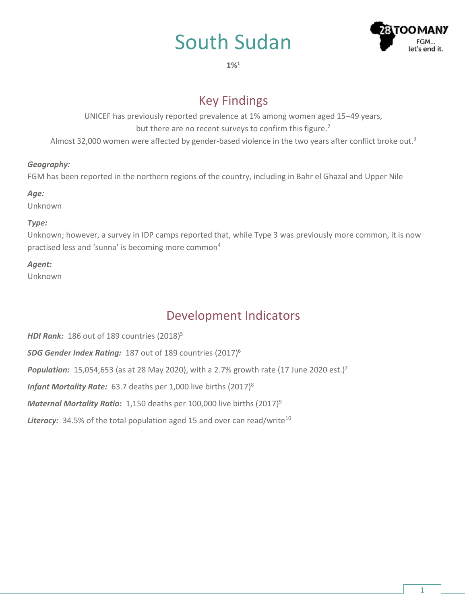# South Sudan



**1%<sup>1</sup>**

## Key Findings

UNICEF has previously reported prevalence at 1% among women aged 15–49 years, but there are no recent surveys to confirm this figure.<sup>2</sup> Almost 32,000 women were affected by gender-based violence in the two years after conflict broke out.<sup>3</sup>

#### *Geography:*

FGM has been reported in the northern regions of the country, including in Bahr el Ghazal and Upper Nile

#### *Age:*

Unknown

#### *Type:*

Unknown; however, a survey in IDP camps reported that, while Type 3 was previously more common, it is now practised less and 'sunna' is becoming more common<sup>4</sup>

#### *Agent:*

Unknown

# Development Indicators

*HDI Rank:* 186 out of 189 countries (2018) 5 *SDG Gender Index Rating:* 187 out of 189 countries (2017) 6 **Population:** 15,054,653 (as at 28 May 2020), with a 2.7% growth rate (17 June 2020 est.)<sup>7</sup> *Infant Mortality Rate:* 63.7 deaths per 1,000 live births (2017) 8 Maternal Mortality Ratio: 1,150 deaths per 100,000 live births (2017)<sup>9</sup> **Literacy:** 34.5% of the total population aged 15 and over can read/write<sup>10</sup>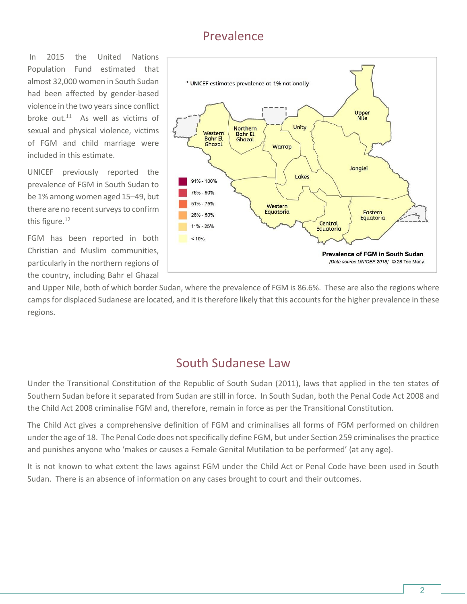## Prevalence

In 2015 the United Nations Population Fund estimated that almost 32,000 women in South Sudan had been affected by gender-based violence in the two years since conflict broke out. $11$  As well as victims of sexual and physical violence, victims of FGM and child marriage were included in this estimate.

UNICEF previously reported the prevalence of FGM in South Sudan to be 1% among women aged 15–49, but there are no recent surveys to confirm this figure.<sup>12</sup>

FGM has been reported in both Christian and Muslim communities, particularly in the northern regions of the country, including Bahr el Ghazal



and Upper Nile, both of which border Sudan, where the prevalence of FGM is 86.6%. These are also the regions where camps for displaced Sudanese are located, and it is therefore likely that this accounts for the higher prevalence in these regions.

### South Sudanese Law

Under the Transitional Constitution of the Republic of South Sudan (2011), laws that applied in the ten states of Southern Sudan before it separated from Sudan are still in force. In South Sudan, both the Penal Code Act 2008 and the Child Act 2008 criminalise FGM and, therefore, remain in force as per the Transitional Constitution.

The Child Act gives a comprehensive definition of FGM and criminalises all forms of FGM performed on children under the age of 18. The Penal Code does not specifically define FGM, but under Section 259 criminalises the practice and punishes anyone who 'makes or causes a Female Genital Mutilation to be performed' (at any age).

It is not known to what extent the laws against FGM under the Child Act or Penal Code have been used in South Sudan. There is an absence of information on any cases brought to court and their outcomes.